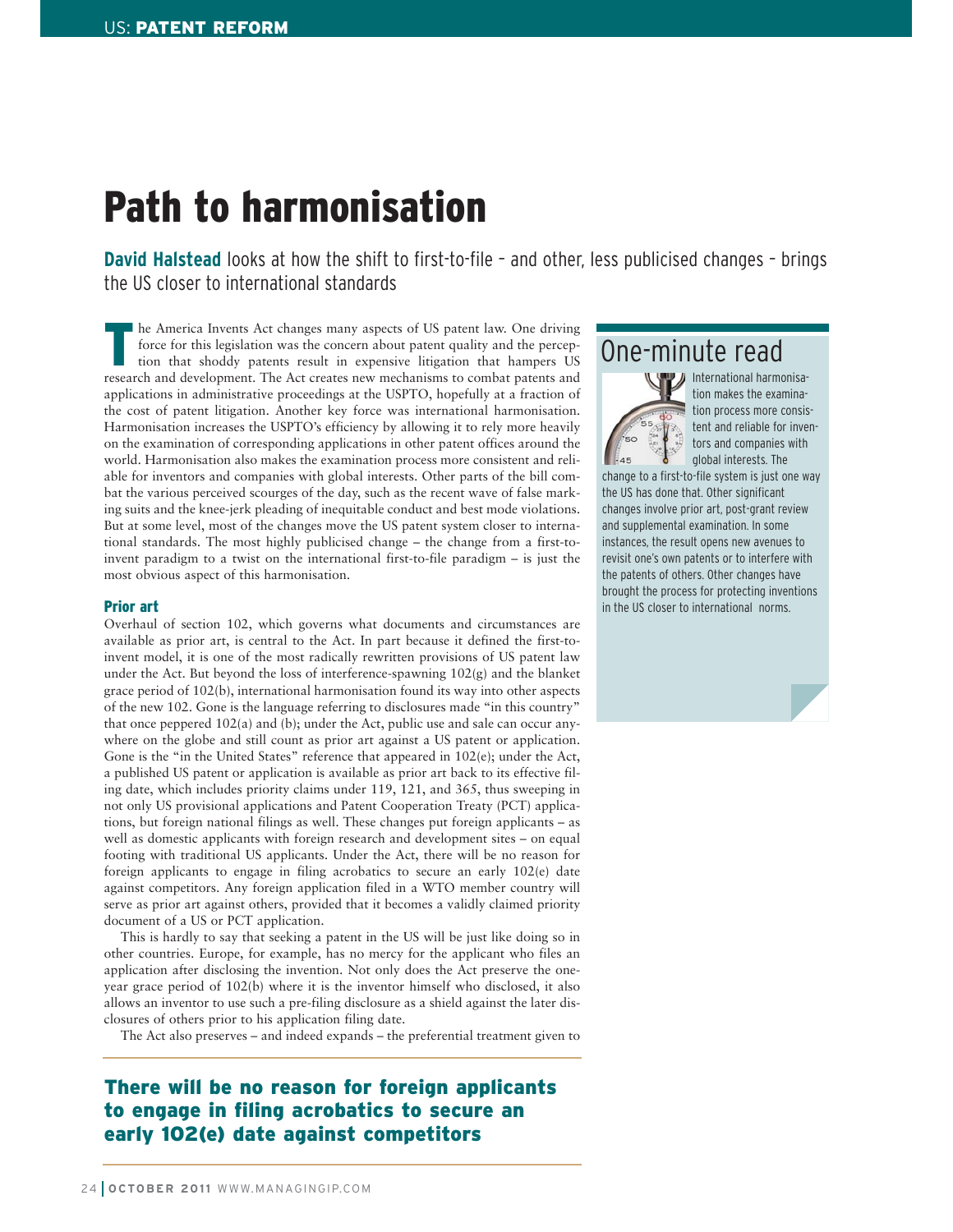# Path to harmonisation

**David Halstead** looks at how the shift to first-to-file – and other, less publicised changes – brings the US closer to international standards

The America Invents Act changes many aspects of US patent law. One driving<br>force for this legislation was the concern about patent quality and the percep-<br>tion that shoddy patents result in expensive litigation that hamper force for this legislation was the concern about patent quality and the percepresearch and development. The Act creates new mechanisms to combat patents and applications in administrative proceedings at the USPTO, hopefully at a fraction of the cost of patent litigation. Another key force was international harmonisation. Harmonisation increases the USPTO's efficiency by allowing it to rely more heavily on the examination of corresponding applications in other patent offices around the world. Harmonisation also makes the examination process more consistent and reliable for inventors and companies with global interests. Other parts of the bill combat the various perceived scourges of the day, such as the recent wave of false marking suits and the knee-jerk pleading of inequitable conduct and best mode violations. But at some level, most of the changes move the US patent system closer to international standards. The most highly publicised change – the change from a first-toinvent paradigm to a twist on the international first-to-file paradigm – is just the most obvious aspect of this harmonisation.

#### Prior art

Overhaul of section 102, which governs what documents and circumstances are available as prior art, is central to the Act. In part because it defined the first-toinvent model, it is one of the most radically rewritten provisions of US patent law under the Act. But beyond the loss of interference-spawning 102(g) and the blanket grace period of 102(b), international harmonisation found its way into other aspects of the new 102. Gone is the language referring to disclosures made "in this country" that once peppered 102(a) and (b); under the Act, public use and sale can occur anywhere on the globe and still count as prior art against a US patent or application. Gone is the "in the United States" reference that appeared in 102(e); under the Act, a published US patent or application is available as prior art back to its effective filing date, which includes priority claims under 119, 121, and 365, thus sweeping in not only US provisional applications and Patent Cooperation Treaty (PCT) applications, but foreign national filings as well. These changes put foreign applicants – as well as domestic applicants with foreign research and development sites – on equal footing with traditional US applicants. Under the Act, there will be no reason for foreign applicants to engage in filing acrobatics to secure an early 102(e) date against competitors. Any foreign application filed in a WTO member country will serve as prior art against others, provided that it becomes a validly claimed priority document of a US or PCT application.

This is hardly to say that seeking a patent in the US will be just like doing so in other countries. Europe, for example, has no mercy for the applicant who files an application after disclosing the invention. Not only does the Act preserve the oneyear grace period of 102(b) where it is the inventor himself who disclosed, it also allows an inventor to use such a pre-filing disclosure as a shield against the later disclosures of others prior to his application filing date.

The Act also preserves – and indeed expands – the preferential treatment given to

### There will be no reason for foreign applicants to engage in filing acrobatics to secure an early 102(e) date against competitors

### One-minute read



International harmonisation makes the examination process more consistent and reliable for inventors and companies with global interests. The

change to a first-to-file system is just one way the US has done that. Other significant changes involve prior art, post-grant review and supplemental examination. In some instances, the result opens new avenues to revisit one's own patents or to interfere with the patents of others. Other changes have brought the process for protecting inventions in the US closer to international norms.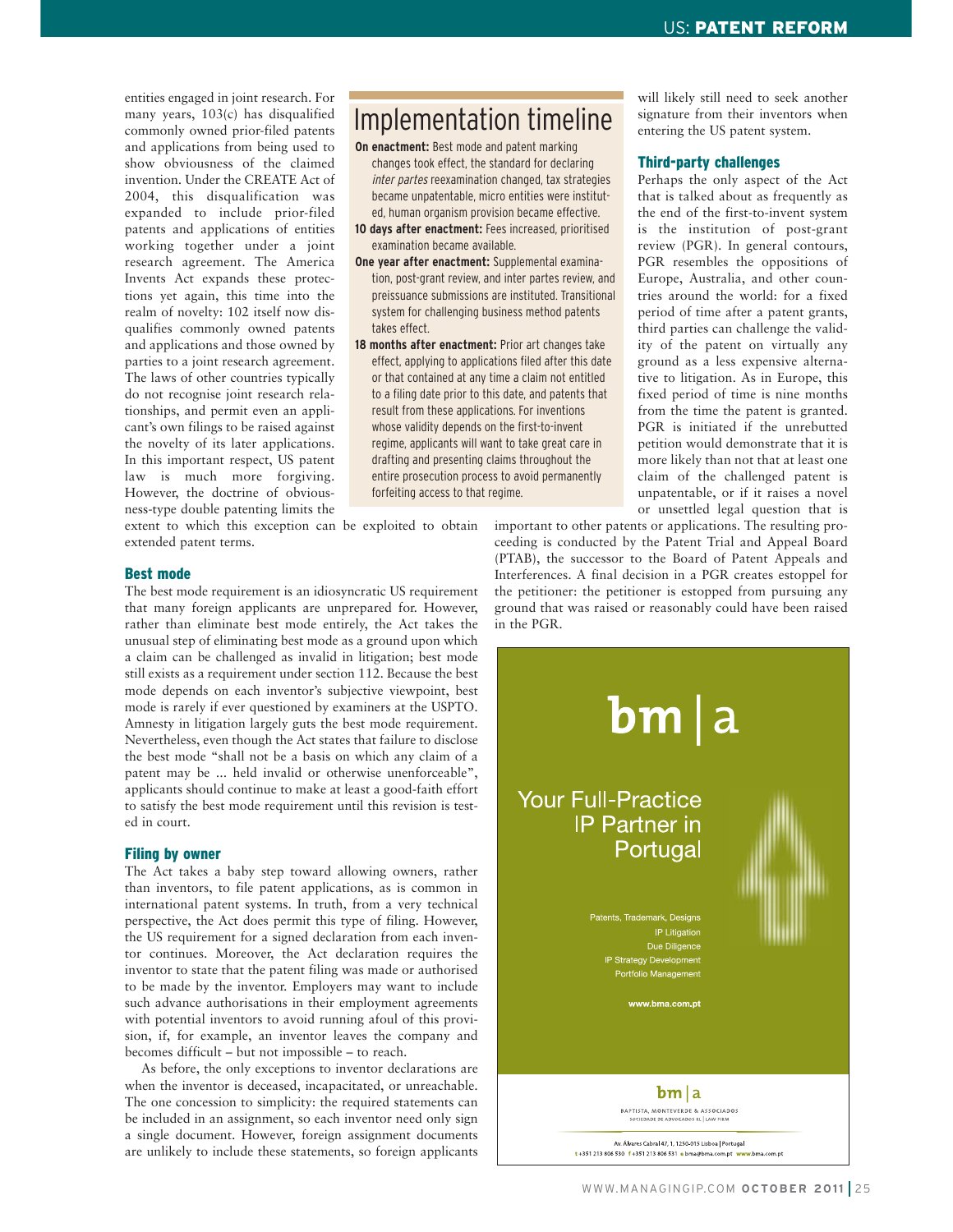entities engaged in joint research. For many years, 103(c) has disqualified commonly owned prior-filed patents and applications from being used to show obviousness of the claimed invention. Under the CREATE Act of 2004, this disqualification was expanded to include prior-filed patents and applications of entities working together under a joint research agreement. The America Invents Act expands these protections yet again, this time into the realm of novelty: 102 itself now disqualifies commonly owned patents and applications and those owned by parties to a joint research agreement. The laws of other countries typically do not recognise joint research relationships, and permit even an applicant's own filings to be raised against the novelty of its later applications. In this important respect, US patent law is much more forgiving. However, the doctrine of obviousness-type double patenting limits the

## Implementation timeline

- **On enactment:** Best mode and patent marking changes took effect, the standard for declaring inter partes reexamination changed, tax strategies became unpatentable, micro entities were instituted, human organism provision became effective.
- **10 days after enactment:** Fees increased, prioritised examination became available.
- **One year after enactment:** Supplemental examination, post-grant review, and inter partes review, and preissuance submissions are instituted. Transitional system for challenging business method patents takes effect.
- **18 months after enactment:** Prior art changes take effect, applying to applications filed after this date or that contained at any time a claim not entitled to a filing date prior to this date, and patents that result from these applications. For inventions whose validity depends on the first-to-invent regime, applicants will want to take great care in drafting and presenting claims throughout the entire prosecution process to avoid permanently forfeiting access to that regime.

extent to which this exception can be exploited to obtain extended patent terms.

#### Best mode

The best mode requirement is an idiosyncratic US requirement that many foreign applicants are unprepared for. However, rather than eliminate best mode entirely, the Act takes the unusual step of eliminating best mode as a ground upon which a claim can be challenged as invalid in litigation; best mode still exists as a requirement under section 112. Because the best mode depends on each inventor's subjective viewpoint, best mode is rarely if ever questioned by examiners at the USPTO. Amnesty in litigation largely guts the best mode requirement. Nevertheless, even though the Act states that failure to disclose the best mode "shall not be a basis on which any claim of a patent may be ... held invalid or otherwise unenforceable", applicants should continue to make at least a good-faith effort to satisfy the best mode requirement until this revision is tested in court.

#### Filing by owner

The Act takes a baby step toward allowing owners, rather than inventors, to file patent applications, as is common in international patent systems. In truth, from a very technical perspective, the Act does permit this type of filing. However, the US requirement for a signed declaration from each inventor continues. Moreover, the Act declaration requires the inventor to state that the patent filing was made or authorised to be made by the inventor. Employers may want to include such advance authorisations in their employment agreements with potential inventors to avoid running afoul of this provision, if, for example, an inventor leaves the company and becomes difficult – but not impossible – to reach.

As before, the only exceptions to inventor declarations are when the inventor is deceased, incapacitated, or unreachable. The one concession to simplicity: the required statements can be included in an assignment, so each inventor need only sign a single document. However, foreign assignment documents are unlikely to include these statements, so foreign applicants

will likely still need to seek another signature from their inventors when entering the US patent system.

#### Third-party challenges

Perhaps the only aspect of the Act that is talked about as frequently as the end of the first-to-invent system is the institution of post-grant review (PGR). In general contours, PGR resembles the oppositions of Europe, Australia, and other countries around the world: for a fixed period of time after a patent grants, third parties can challenge the validity of the patent on virtually any ground as a less expensive alternative to litigation. As in Europe, this fixed period of time is nine months from the time the patent is granted. PGR is initiated if the unrebutted petition would demonstrate that it is more likely than not that at least one claim of the challenged patent is unpatentable, or if it raises a novel or unsettled legal question that is

important to other patents or applications. The resulting proceeding is conducted by the Patent Trial and Appeal Board (PTAB), the successor to the Board of Patent Appeals and Interferences. A final decision in a PGR creates estoppel for the petitioner: the petitioner is estopped from pursuing any ground that was raised or reasonably could have been raised in the PGR.